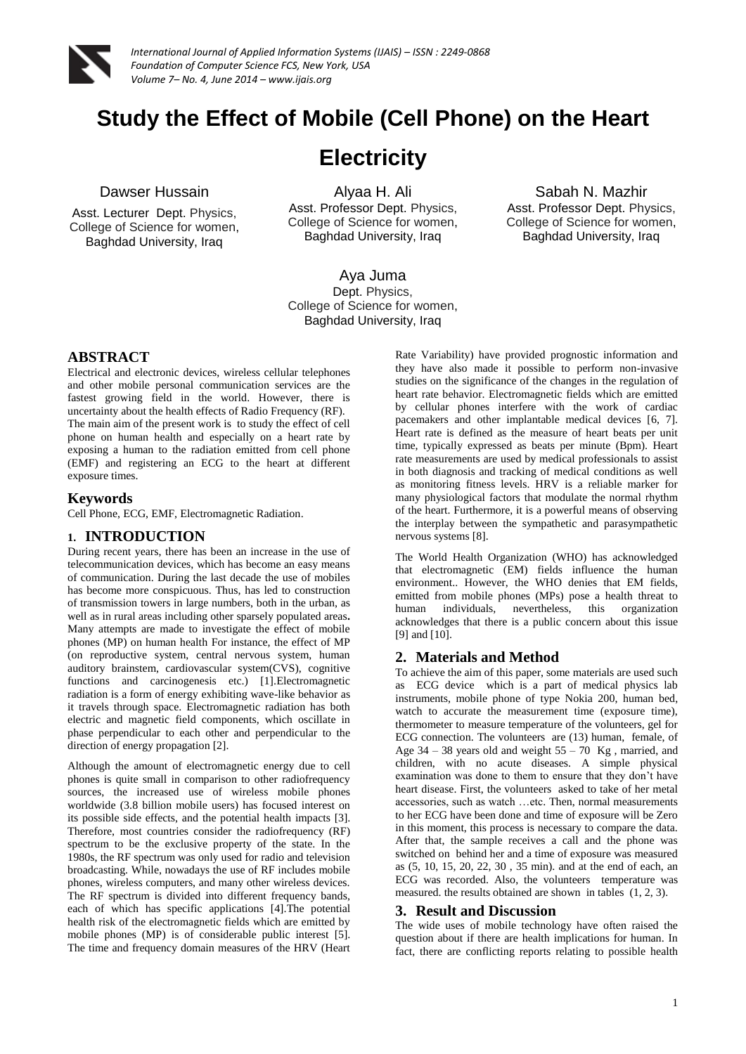

# **Study the Effect of Mobile (Cell Phone) on the Heart**

# **Electricity**

## Dawser Hussain

Asst. Lecturer Dept. Physics, College of Science for women, Baghdad University, Iraq

Alyaa H. Ali Asst. Professor Dept. Physics, College of Science for women, Baghdad University, Iraq

Sabah N. Mazhir Asst. Professor Dept. Physics, College of Science for women, Baghdad University, Iraq

Aya Juma Dept. Physics, College of Science for women, Baghdad University, Iraq

### **ABSTRACT**

Electrical and electronic devices, wireless cellular telephones and other mobile personal communication services are the fastest growing field in the world. However, there is uncertainty about the health effects of Radio Frequency (RF). The main aim of the present work is to study the effect of cell phone on human health and especially on a heart rate by exposing a human to the radiation emitted from cell phone (EMF) and registering an ECG to the heart at different exposure times.

#### **Keywords**

Cell Phone, ECG, EMF, Electromagnetic Radiation.

### **1. INTRODUCTION**

During recent years, there has been an increase in the use of telecommunication devices, which has become an easy means of communication. During the last decade the use of mobiles has become more conspicuous. Thus, has led to construction of transmission towers in large numbers, both in the urban, as well as in rural areas including other sparsely populated areas**.**  Many attempts are made to investigate the effect of mobile phones (MP) on human health For instance, the effect of MP (on reproductive system, central nervous system, human auditory brainstem, cardiovascular system(CVS), cognitive functions and carcinogenesis etc.) [1]. Electromagnetic radiation is a form of energy exhibiting wave-like behavior as it travels through space. Electromagnetic radiation has both electric and magnetic field components, which oscillate in phase perpendicular to each other and perpendicular to the direction of energy propagation [2].

Although the amount of electromagnetic energy due to cell phones is quite small in comparison to other radiofrequency sources, the increased use of wireless mobile phones worldwide (3.8 billion mobile users) has focused interest on its possible side effects, and the potential health impacts [3]. Therefore, most countries consider the radiofrequency (RF) spectrum to be the exclusive property of the state. In the 1980s, the RF spectrum was only used for radio and television broadcasting. While, nowadays the use of RF includes mobile phones, wireless computers, and many other wireless devices. The RF spectrum is divided into different frequency bands, each of which has specific applications [4].The potential health risk of the electromagnetic fields which are emitted by mobile phones (MP) is of considerable public interest [5]. The time and frequency domain measures of the HRV (Heart

Rate Variability) have provided prognostic information and they have also made it possible to perform non-invasive studies on the significance of the changes in the regulation of heart rate behavior. Electromagnetic fields which are emitted by cellular phones interfere with the work of cardiac pacemakers and other implantable medical devices [6, 7]. Heart rate is defined as the measure of heart beats per unit time, typically expressed as beats per minute (Bpm). Heart rate measurements are used by medical professionals to assist in both diagnosis and tracking of medical conditions as well as monitoring fitness levels. HRV is a reliable marker for many physiological factors that modulate the normal rhythm of the heart. Furthermore, it is a powerful means of observing the interplay between the sympathetic and parasympathetic nervous systems [8].

The World Health Organization (WHO) has acknowledged that electromagnetic (EM) fields influence the human environment.. However, the WHO denies that EM fields, emitted from mobile phones (MPs) pose a health threat to human individuals, nevertheless, this organization acknowledges that there is a public concern about this issue [9] and [10].

### **2. Materials and Method**

To achieve the aim of this paper, some materials are used such as ECG device which is a part of medical physics lab instruments, mobile phone of type Nokia 200, human bed, watch to accurate the measurement time (exposure time), thermometer to measure temperature of the volunteers, gel for ECG connection. The volunteers are (13) human, female, of Age  $34 - 38$  years old and weight  $55 - 70$  Kg, married, and children, with no acute diseases. A simple physical examination was done to them to ensure that they don't have heart disease. First, the volunteers asked to take of her metal accessories, such as watch …etc. Then, normal measurements to her ECG have been done and time of exposure will be Zero in this moment, this process is necessary to compare the data. After that, the sample receives a call and the phone was switched on behind her and a time of exposure was measured as (5, 10, 15, 20, 22, 30 , 35 min). and at the end of each, an ECG was recorded. Also, the volunteers temperature was measured. the results obtained are shown in tables (1, 2, 3).

### **3. Result and Discussion**

The wide uses of mobile technology have often raised the question about if there are health implications for human. In fact, there are conflicting reports relating to possible health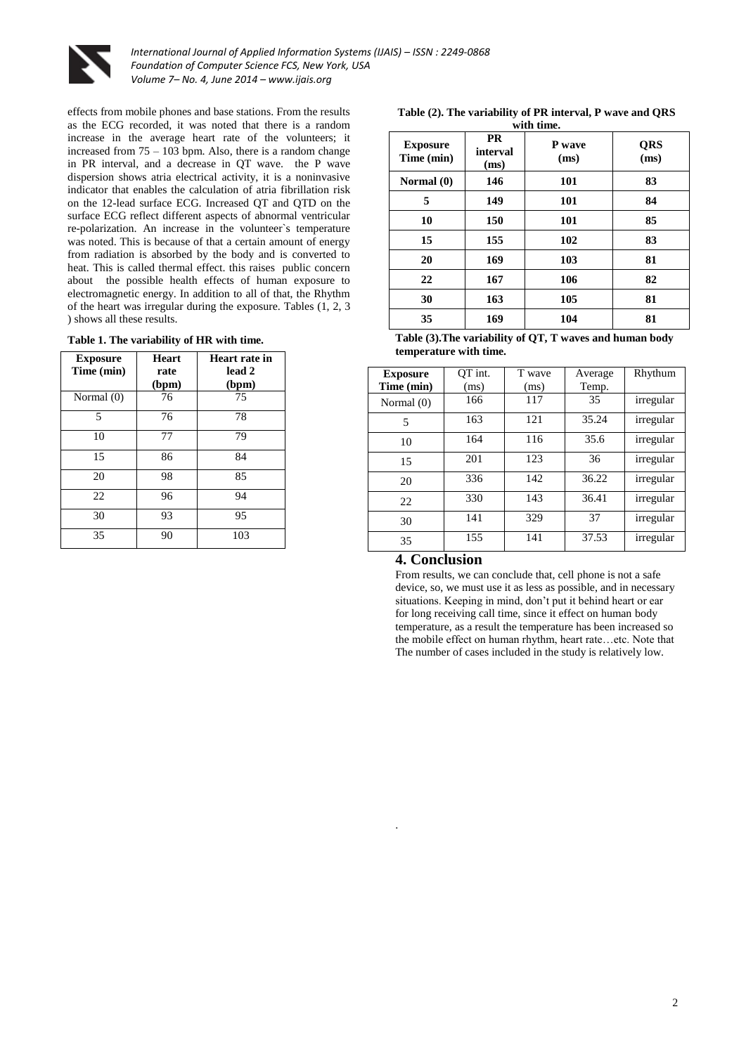

effects from mobile phones and base stations. From the results as the ECG recorded, it was noted that there is a random increase in the average heart rate of the volunteers; it increased from 75 – 103 bpm. Also, there is a random change in PR interval, and a decrease in QT wave. the P wave dispersion shows atria electrical activity, it is a noninvasive indicator that enables the calculation of atria fibrillation risk on the 12-lead surface ECG. Increased QT and QTD on the surface ECG reflect different aspects of abnormal ventricular re-polarization. An increase in the volunteer`s temperature was noted. This is because of that a certain amount of energy from radiation is absorbed by the body and is converted to heat. This is called thermal effect. this raises public concern about the possible health effects of human exposure to electromagnetic energy. In addition to all of that, the Rhythm of the heart was irregular during the exposure. Tables (1, 2, 3 ) shows all these results.

| <b>Exposure</b><br>Time (min) | <b>Heart</b><br>rate<br>(bpm) | Heart rate in<br>lead 2<br>(bpm) |
|-------------------------------|-------------------------------|----------------------------------|
| Normal (0)                    | 76                            | 75                               |
| 5                             | 76                            | 78                               |
| 10                            | 77                            | 79                               |
| 15                            | 86                            | 84                               |
| 20                            | 98                            | 85                               |
| 22                            | 96                            | 94                               |
| 30                            | 93                            | 95                               |
| 35                            | 90                            | 103                              |

|            |  |  |  |  |  | Table (2). The variability of PR interval, P wave and ORS |
|------------|--|--|--|--|--|-----------------------------------------------------------|
| with time. |  |  |  |  |  |                                                           |

| <b>Exposure</b><br>Time (min) | <b>PR</b><br>interval<br>(ms) | P wave<br>(ms) | QRS<br>(ms) |
|-------------------------------|-------------------------------|----------------|-------------|
| Normal $(0)$                  | 146                           | 101            | 83          |
| 5                             | 149                           | 101            | 84          |
| 10                            | 150                           | 101            | 85          |
| 15                            | 155                           | 102            | 83          |
| 20                            | 169                           | 103            | 81          |
| 22                            | 167                           | 106            | 82          |
| 30                            | 163                           | 105            | 81          |
| 35                            | 169                           | 104            | 81          |

**Table (3).The variability of QT, T waves and human body temperature with time.**

| <b>Exposure</b> | OT int. | T wave | Average | Rhythum   |
|-----------------|---------|--------|---------|-----------|
| Time (min)      | (ms)    | (ms)   | Temp.   |           |
| Normal (0)      | 166     | 117    | 35      | irregular |
| 5               | 163     | 121    | 35.24   | irregular |
| 10              | 164     | 116    | 35.6    | irregular |
| 15              | 201     | 123    | 36      | irregular |
| 20              | 336     | 142    | 36.22   | irregular |
| 22              | 330     | 143    | 36.41   | irregular |
| 30              | 141     | 329    | 37      | irregular |
| 35              | 155     | 141    | 37.53   | irregular |

#### **4. Conclusion**

.

From results, we can conclude that, cell phone is not a safe device, so, we must use it as less as possible, and in necessary situations. Keeping in mind, don't put it behind heart or ear for long receiving call time, since it effect on human body temperature, as a result the temperature has been increased so the mobile effect on human rhythm, heart rate…etc. Note that The number of cases included in the study is relatively low.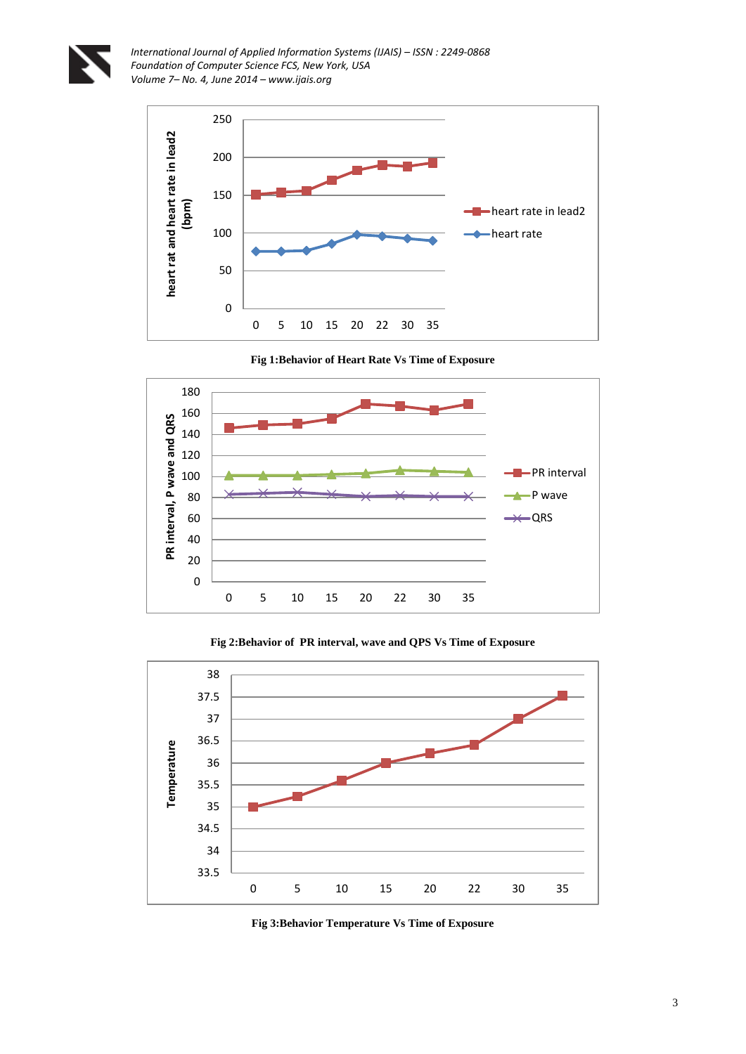



**Fig 1:Behavior of Heart Rate Vs Time of Exposure**



**Fig 2:Behavior of PR interval, wave and QPS Vs Time of Exposure**



**Fig 3:Behavior Temperature Vs Time of Exposure**